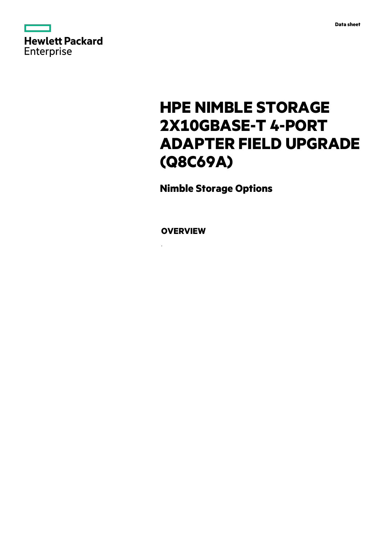

# **HPE NIMBLE STORAGE 2X10GBASE-T 4-PORT ADAPTER FIELD UPGRADE (Q8C69A)**

**Nimble Storage Options**

**OVERVIEW**

.